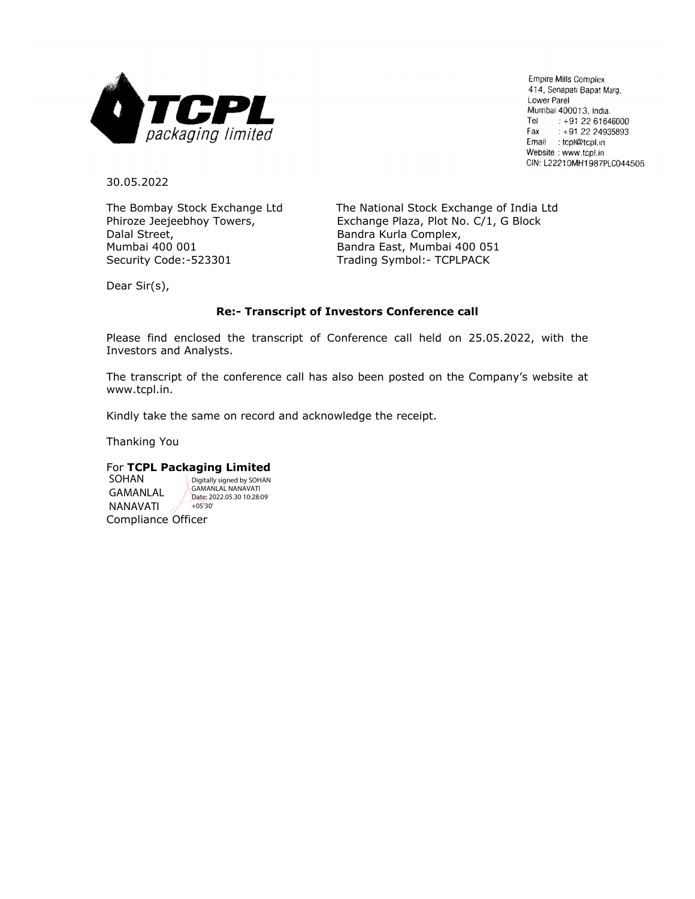

Empire Mills Complex 414, Senapati Bapat Marg, Lower Parel Mumbai 400013, India. Tel  $: +912261646000$ Fax  $: +912224935893$ Email : tcpl@tcpl.in Website: www.tcpl.in CIN: L22210MH1987PLC044505

30.05.2022

Dalal Street, **Bandra Kurla Complex**, Mumbai 400 001 Bandra East, Mumbai 400 051 Security Code:-523301 Trading Symbol:- TCPLPACK

The Bombay Stock Exchange Ltd The National Stock Exchange of India Ltd Phiroze Jeejeebhoy Towers, Exchange Plaza, Plot No. C/1, G Block

Dear Sir(s),

## **Re:- Transcript of Investors Conference call**

Please find enclosed the transcript of Conference call held on 25.05.2022, with the Investors and Analysts.

The transcript of the conference call has also been posted on the Company's website at www.tcpl.in.

Kindly take the same on record and acknowledge the receipt.

Thanking You

## For **TCPL Packaging Limited**

Compliance Officer SOHAN GAMANLAL NANAVATI Digitally signed by SOHAN GAMANLAL NANAVATI Date: 2022.05.30 10:28:09 +05'30'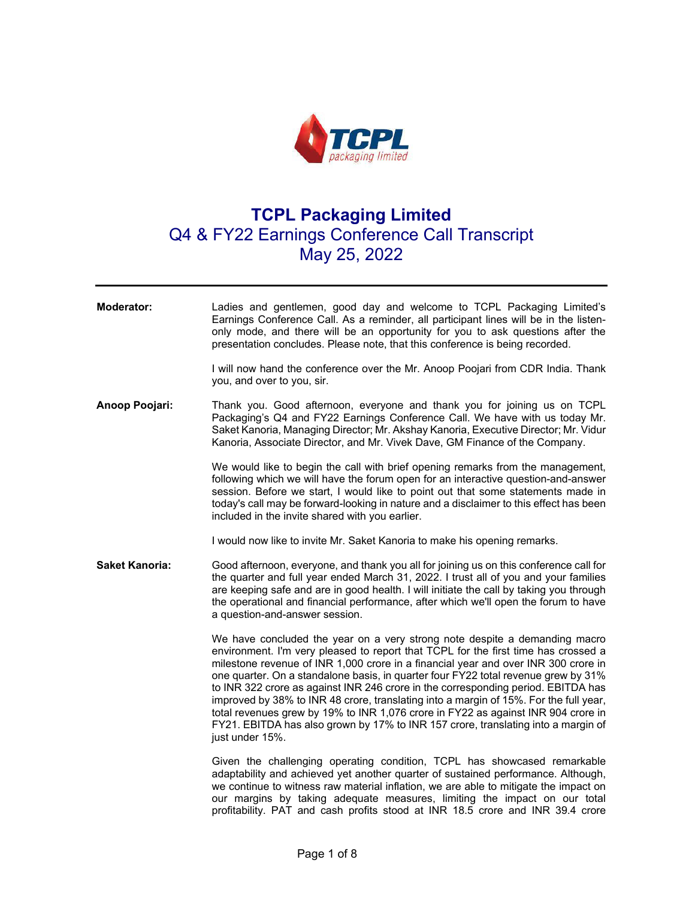

## **TCPL Packaging Limited**  Q4 & FY22 Earnings Conference Call Transcript May 25, 2022

| Moderator:            | Ladies and gentlemen, good day and welcome to TCPL Packaging Limited's<br>Earnings Conference Call. As a reminder, all participant lines will be in the listen-<br>only mode, and there will be an opportunity for you to ask questions after the<br>presentation concludes. Please note, that this conference is being recorded.                                                                                                                                                                                                                                                                                                                                                                                       |
|-----------------------|-------------------------------------------------------------------------------------------------------------------------------------------------------------------------------------------------------------------------------------------------------------------------------------------------------------------------------------------------------------------------------------------------------------------------------------------------------------------------------------------------------------------------------------------------------------------------------------------------------------------------------------------------------------------------------------------------------------------------|
|                       | I will now hand the conference over the Mr. Anoop Poojari from CDR India. Thank<br>you, and over to you, sir.                                                                                                                                                                                                                                                                                                                                                                                                                                                                                                                                                                                                           |
| Anoop Poojari:        | Thank you. Good afternoon, everyone and thank you for joining us on TCPL<br>Packaging's Q4 and FY22 Earnings Conference Call. We have with us today Mr.<br>Saket Kanoria, Managing Director; Mr. Akshay Kanoria, Executive Director; Mr. Vidur<br>Kanoria, Associate Director, and Mr. Vivek Dave, GM Finance of the Company.                                                                                                                                                                                                                                                                                                                                                                                           |
|                       | We would like to begin the call with brief opening remarks from the management,<br>following which we will have the forum open for an interactive question-and-answer<br>session. Before we start, I would like to point out that some statements made in<br>today's call may be forward-looking in nature and a disclaimer to this effect has been<br>included in the invite shared with you earlier.                                                                                                                                                                                                                                                                                                                  |
|                       | I would now like to invite Mr. Saket Kanoria to make his opening remarks.                                                                                                                                                                                                                                                                                                                                                                                                                                                                                                                                                                                                                                               |
| <b>Saket Kanoria:</b> | Good afternoon, everyone, and thank you all for joining us on this conference call for<br>the quarter and full year ended March 31, 2022. I trust all of you and your families<br>are keeping safe and are in good health. I will initiate the call by taking you through<br>the operational and financial performance, after which we'll open the forum to have<br>a question-and-answer session.                                                                                                                                                                                                                                                                                                                      |
|                       | We have concluded the year on a very strong note despite a demanding macro<br>environment. I'm very pleased to report that TCPL for the first time has crossed a<br>milestone revenue of INR 1,000 crore in a financial year and over INR 300 crore in<br>one quarter. On a standalone basis, in quarter four FY22 total revenue grew by 31%<br>to INR 322 crore as against INR 246 crore in the corresponding period. EBITDA has<br>improved by 38% to INR 48 crore, translating into a margin of 15%. For the full year,<br>total revenues grew by 19% to INR 1,076 crore in FY22 as against INR 904 crore in<br>FY21. EBITDA has also grown by 17% to INR 157 crore, translating into a margin of<br>just under 15%. |
|                       | Given the challenging operating condition, TCPL has showcased remarkable<br>adaptability and achieved yet another quarter of sustained performance. Although,<br>we continue to witness raw material inflation, we are able to mitigate the impact on<br>our margins by taking adequate measures, limiting the impact on our total<br>profitability. PAT and cash profits stood at INR 18.5 crore and INR 39.4 crore                                                                                                                                                                                                                                                                                                    |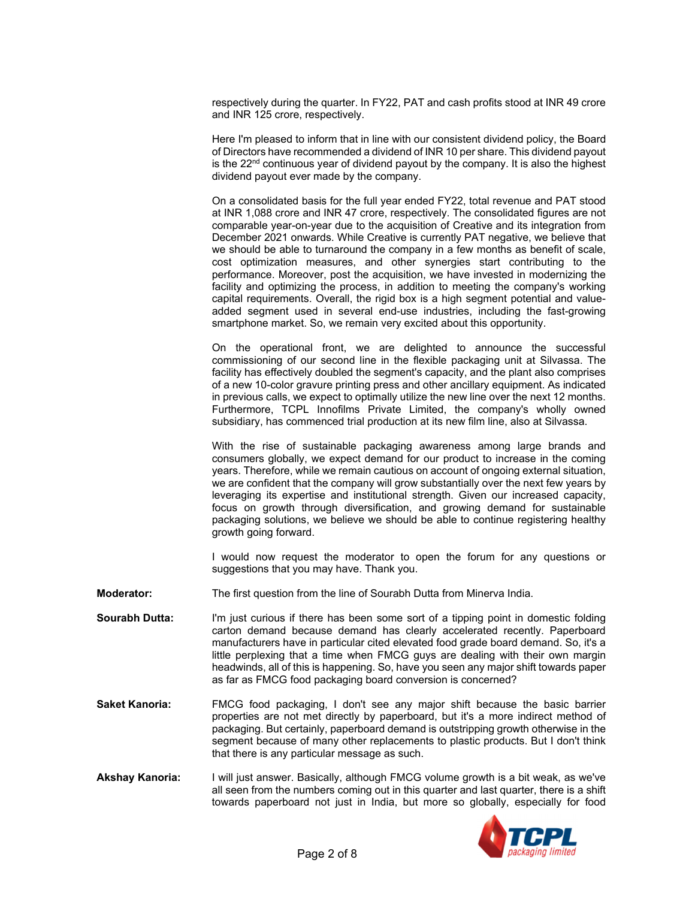respectively during the quarter. In FY22, PAT and cash profits stood at INR 49 crore and INR 125 crore, respectively.

Here I'm pleased to inform that in line with our consistent dividend policy, the Board of Directors have recommended a dividend of INR 10 per share. This dividend payout is the  $22<sup>nd</sup>$  continuous year of dividend payout by the company. It is also the highest dividend payout ever made by the company.

On a consolidated basis for the full year ended FY22, total revenue and PAT stood at INR 1,088 crore and INR 47 crore, respectively. The consolidated figures are not comparable year-on-year due to the acquisition of Creative and its integration from December 2021 onwards. While Creative is currently PAT negative, we believe that we should be able to turnaround the company in a few months as benefit of scale, cost optimization measures, and other synergies start contributing to the performance. Moreover, post the acquisition, we have invested in modernizing the facility and optimizing the process, in addition to meeting the company's working capital requirements. Overall, the rigid box is a high segment potential and valueadded segment used in several end-use industries, including the fast-growing smartphone market. So, we remain very excited about this opportunity.

On the operational front, we are delighted to announce the successful commissioning of our second line in the flexible packaging unit at Silvassa. The facility has effectively doubled the segment's capacity, and the plant also comprises of a new 10-color gravure printing press and other ancillary equipment. As indicated in previous calls, we expect to optimally utilize the new line over the next 12 months. Furthermore, TCPL Innofilms Private Limited, the company's wholly owned subsidiary, has commenced trial production at its new film line, also at Silvassa.

With the rise of sustainable packaging awareness among large brands and consumers globally, we expect demand for our product to increase in the coming years. Therefore, while we remain cautious on account of ongoing external situation, we are confident that the company will grow substantially over the next few years by leveraging its expertise and institutional strength. Given our increased capacity, focus on growth through diversification, and growing demand for sustainable packaging solutions, we believe we should be able to continue registering healthy growth going forward.

I would now request the moderator to open the forum for any questions or suggestions that you may have. Thank you.

**Moderator:** The first question from the line of Sourabh Dutta from Minerva India.

- **Sourabh Dutta:** I'm just curious if there has been some sort of a tipping point in domestic folding carton demand because demand has clearly accelerated recently. Paperboard manufacturers have in particular cited elevated food grade board demand. So, it's a little perplexing that a time when FMCG guys are dealing with their own margin headwinds, all of this is happening. So, have you seen any major shift towards paper as far as FMCG food packaging board conversion is concerned?
- **Saket Kanoria:** FMCG food packaging, I don't see any major shift because the basic barrier properties are not met directly by paperboard, but it's a more indirect method of packaging. But certainly, paperboard demand is outstripping growth otherwise in the segment because of many other replacements to plastic products. But I don't think that there is any particular message as such.
- **Akshay Kanoria:** I will just answer. Basically, although FMCG volume growth is a bit weak, as we've all seen from the numbers coming out in this quarter and last quarter, there is a shift towards paperboard not just in India, but more so globally, especially for food

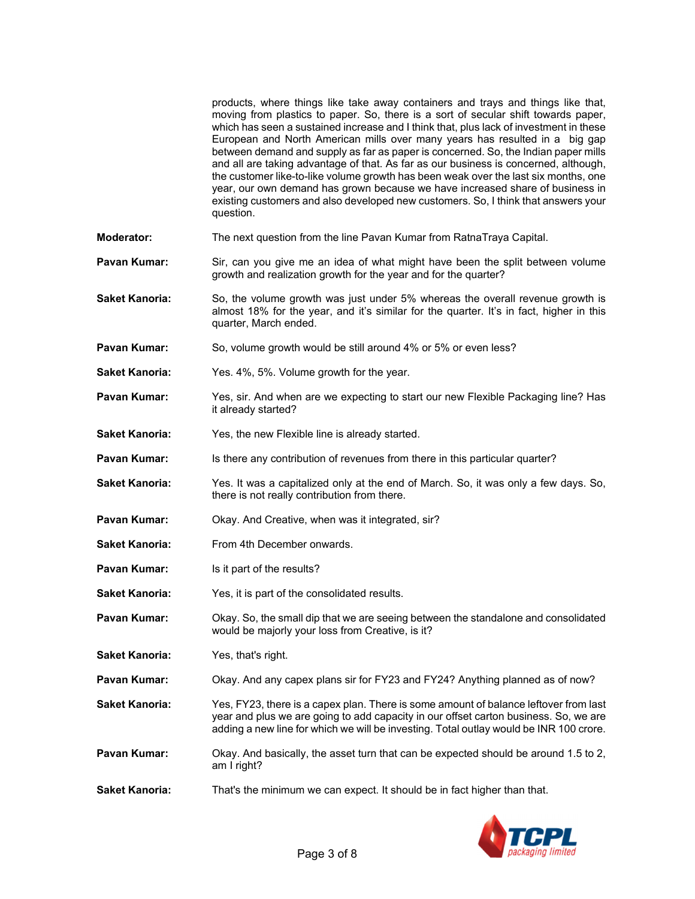|                       | products, where things like take away containers and trays and things like that,<br>moving from plastics to paper. So, there is a sort of secular shift towards paper,<br>which has seen a sustained increase and I think that, plus lack of investment in these<br>European and North American mills over many years has resulted in a big gap<br>between demand and supply as far as paper is concerned. So, the Indian paper mills<br>and all are taking advantage of that. As far as our business is concerned, although,<br>the customer like-to-like volume growth has been weak over the last six months, one<br>year, our own demand has grown because we have increased share of business in<br>existing customers and also developed new customers. So, I think that answers your<br>question. |
|-----------------------|----------------------------------------------------------------------------------------------------------------------------------------------------------------------------------------------------------------------------------------------------------------------------------------------------------------------------------------------------------------------------------------------------------------------------------------------------------------------------------------------------------------------------------------------------------------------------------------------------------------------------------------------------------------------------------------------------------------------------------------------------------------------------------------------------------|
| <b>Moderator:</b>     | The next question from the line Pavan Kumar from RatnaTraya Capital.                                                                                                                                                                                                                                                                                                                                                                                                                                                                                                                                                                                                                                                                                                                                     |
| Pavan Kumar:          | Sir, can you give me an idea of what might have been the split between volume<br>growth and realization growth for the year and for the quarter?                                                                                                                                                                                                                                                                                                                                                                                                                                                                                                                                                                                                                                                         |
| Saket Kanoria:        | So, the volume growth was just under 5% whereas the overall revenue growth is<br>almost 18% for the year, and it's similar for the quarter. It's in fact, higher in this<br>quarter, March ended.                                                                                                                                                                                                                                                                                                                                                                                                                                                                                                                                                                                                        |
| Pavan Kumar:          | So, volume growth would be still around 4% or 5% or even less?                                                                                                                                                                                                                                                                                                                                                                                                                                                                                                                                                                                                                                                                                                                                           |
| Saket Kanoria:        | Yes. 4%, 5%. Volume growth for the year.                                                                                                                                                                                                                                                                                                                                                                                                                                                                                                                                                                                                                                                                                                                                                                 |
| Pavan Kumar:          | Yes, sir. And when are we expecting to start our new Flexible Packaging line? Has<br>it already started?                                                                                                                                                                                                                                                                                                                                                                                                                                                                                                                                                                                                                                                                                                 |
| Saket Kanoria:        | Yes, the new Flexible line is already started.                                                                                                                                                                                                                                                                                                                                                                                                                                                                                                                                                                                                                                                                                                                                                           |
| Pavan Kumar:          | Is there any contribution of revenues from there in this particular quarter?                                                                                                                                                                                                                                                                                                                                                                                                                                                                                                                                                                                                                                                                                                                             |
| Saket Kanoria:        | Yes. It was a capitalized only at the end of March. So, it was only a few days. So,<br>there is not really contribution from there.                                                                                                                                                                                                                                                                                                                                                                                                                                                                                                                                                                                                                                                                      |
| Pavan Kumar:          | Okay. And Creative, when was it integrated, sir?                                                                                                                                                                                                                                                                                                                                                                                                                                                                                                                                                                                                                                                                                                                                                         |
| <b>Saket Kanoria:</b> | From 4th December onwards.                                                                                                                                                                                                                                                                                                                                                                                                                                                                                                                                                                                                                                                                                                                                                                               |
| Pavan Kumar:          | Is it part of the results?                                                                                                                                                                                                                                                                                                                                                                                                                                                                                                                                                                                                                                                                                                                                                                               |
| Saket Kanoria:        | Yes, it is part of the consolidated results.                                                                                                                                                                                                                                                                                                                                                                                                                                                                                                                                                                                                                                                                                                                                                             |
| Pavan Kumar:          | Okay. So, the small dip that we are seeing between the standalone and consolidated<br>would be majorly your loss from Creative, is it?                                                                                                                                                                                                                                                                                                                                                                                                                                                                                                                                                                                                                                                                   |
| <b>Saket Kanoria:</b> | Yes, that's right.                                                                                                                                                                                                                                                                                                                                                                                                                                                                                                                                                                                                                                                                                                                                                                                       |
| Pavan Kumar:          | Okay. And any capex plans sir for FY23 and FY24? Anything planned as of now?                                                                                                                                                                                                                                                                                                                                                                                                                                                                                                                                                                                                                                                                                                                             |
| Saket Kanoria:        | Yes, FY23, there is a capex plan. There is some amount of balance leftover from last<br>year and plus we are going to add capacity in our offset carton business. So, we are<br>adding a new line for which we will be investing. Total outlay would be INR 100 crore.                                                                                                                                                                                                                                                                                                                                                                                                                                                                                                                                   |
| Pavan Kumar:          | Okay. And basically, the asset turn that can be expected should be around 1.5 to 2,<br>am I right?                                                                                                                                                                                                                                                                                                                                                                                                                                                                                                                                                                                                                                                                                                       |
| Saket Kanoria:        | That's the minimum we can expect. It should be in fact higher than that.                                                                                                                                                                                                                                                                                                                                                                                                                                                                                                                                                                                                                                                                                                                                 |
|                       |                                                                                                                                                                                                                                                                                                                                                                                                                                                                                                                                                                                                                                                                                                                                                                                                          |

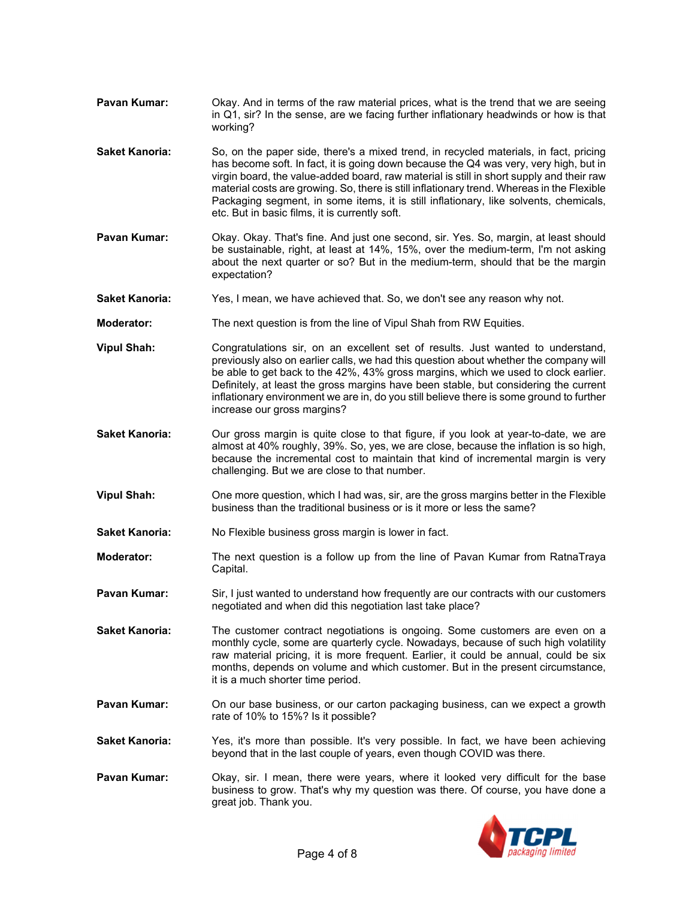- **Pavan Kumar:** Okay. And in terms of the raw material prices, what is the trend that we are seeing in Q1, sir? In the sense, are we facing further inflationary headwinds or how is that working?
- **Saket Kanoria:** So, on the paper side, there's a mixed trend, in recycled materials, in fact, pricing has become soft. In fact, it is going down because the Q4 was very, very high, but in virgin board, the value-added board, raw material is still in short supply and their raw material costs are growing. So, there is still inflationary trend. Whereas in the Flexible Packaging segment, in some items, it is still inflationary, like solvents, chemicals, etc. But in basic films, it is currently soft.
- **Pavan Kumar:** Okay. Okay. That's fine. And just one second, sir. Yes. So, margin, at least should be sustainable, right, at least at 14%, 15%, over the medium-term, I'm not asking about the next quarter or so? But in the medium-term, should that be the margin expectation?
- **Saket Kanoria:** Yes, I mean, we have achieved that. So, we don't see any reason why not.
- **Moderator:** The next question is from the line of Vipul Shah from RW Equities.
- **Vipul Shah:** Congratulations sir, on an excellent set of results. Just wanted to understand, previously also on earlier calls, we had this question about whether the company will be able to get back to the 42%, 43% gross margins, which we used to clock earlier. Definitely, at least the gross margins have been stable, but considering the current inflationary environment we are in, do you still believe there is some ground to further increase our gross margins?
- **Saket Kanoria:** Our gross margin is quite close to that figure, if you look at year-to-date, we are almost at 40% roughly, 39%. So, yes, we are close, because the inflation is so high, because the incremental cost to maintain that kind of incremental margin is very challenging. But we are close to that number.
- **Vipul Shah:** One more question, which I had was, sir, are the gross margins better in the Flexible business than the traditional business or is it more or less the same?
- **Saket Kanoria:** No Flexible business gross margin is lower in fact.
- **Moderator:** The next question is a follow up from the line of Pavan Kumar from RatnaTraya Capital.
- **Pavan Kumar:** Sir, I just wanted to understand how frequently are our contracts with our customers negotiated and when did this negotiation last take place?
- **Saket Kanoria:** The customer contract negotiations is ongoing. Some customers are even on a monthly cycle, some are quarterly cycle. Nowadays, because of such high volatility raw material pricing, it is more frequent. Earlier, it could be annual, could be six months, depends on volume and which customer. But in the present circumstance, it is a much shorter time period.
- **Pavan Kumar:** On our base business, or our carton packaging business, can we expect a growth rate of 10% to 15%? Is it possible?
- **Saket Kanoria:** Yes, it's more than possible. It's very possible. In fact, we have been achieving beyond that in the last couple of years, even though COVID was there.
- **Pavan Kumar:** Okay, sir. I mean, there were years, where it looked very difficult for the base business to grow. That's why my question was there. Of course, you have done a great job. Thank you.

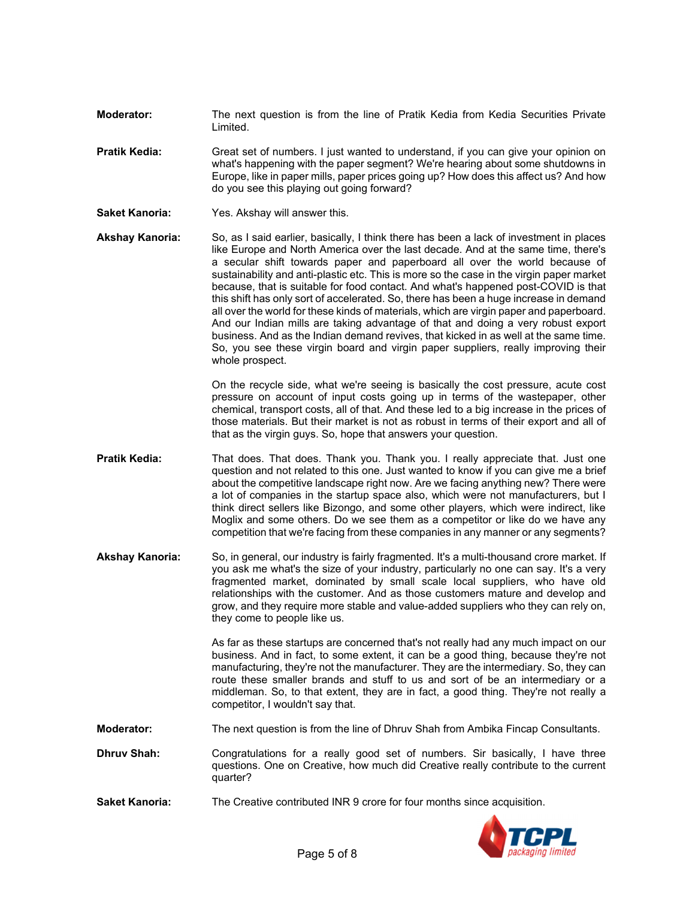- **Moderator:** The next question is from the line of Pratik Kedia from Kedia Securities Private Limited.
- **Pratik Kedia:** Great set of numbers. I just wanted to understand, if you can give your opinion on what's happening with the paper segment? We're hearing about some shutdowns in Europe, like in paper mills, paper prices going up? How does this affect us? And how do you see this playing out going forward?
- **Saket Kanoria:** Yes. Akshay will answer this.
- **Akshay Kanoria:** So, as I said earlier, basically, I think there has been a lack of investment in places like Europe and North America over the last decade. And at the same time, there's a secular shift towards paper and paperboard all over the world because of sustainability and anti-plastic etc. This is more so the case in the virgin paper market because, that is suitable for food contact. And what's happened post-COVID is that this shift has only sort of accelerated. So, there has been a huge increase in demand all over the world for these kinds of materials, which are virgin paper and paperboard. And our Indian mills are taking advantage of that and doing a very robust export business. And as the Indian demand revives, that kicked in as well at the same time. So, you see these virgin board and virgin paper suppliers, really improving their whole prospect.

On the recycle side, what we're seeing is basically the cost pressure, acute cost pressure on account of input costs going up in terms of the wastepaper, other chemical, transport costs, all of that. And these led to a big increase in the prices of those materials. But their market is not as robust in terms of their export and all of that as the virgin guys. So, hope that answers your question.

- **Pratik Kedia:** That does. That does. Thank you. Thank you. I really appreciate that. Just one question and not related to this one. Just wanted to know if you can give me a brief about the competitive landscape right now. Are we facing anything new? There were a lot of companies in the startup space also, which were not manufacturers, but I think direct sellers like Bizongo, and some other players, which were indirect, like Moglix and some others. Do we see them as a competitor or like do we have any competition that we're facing from these companies in any manner or any segments?
- **Akshay Kanoria:** So, in general, our industry is fairly fragmented. It's a multi-thousand crore market. If you ask me what's the size of your industry, particularly no one can say. It's a very fragmented market, dominated by small scale local suppliers, who have old relationships with the customer. And as those customers mature and develop and grow, and they require more stable and value-added suppliers who they can rely on, they come to people like us.

As far as these startups are concerned that's not really had any much impact on our business. And in fact, to some extent, it can be a good thing, because they're not manufacturing, they're not the manufacturer. They are the intermediary. So, they can route these smaller brands and stuff to us and sort of be an intermediary or a middleman. So, to that extent, they are in fact, a good thing. They're not really a competitor, I wouldn't say that.

**Moderator:** The next question is from the line of Dhruv Shah from Ambika Fincap Consultants.

- **Dhruv Shah:** Congratulations for a really good set of numbers. Sir basically, I have three questions. One on Creative, how much did Creative really contribute to the current quarter?
- **Saket Kanoria:** The Creative contributed INR 9 crore for four months since acquisition.

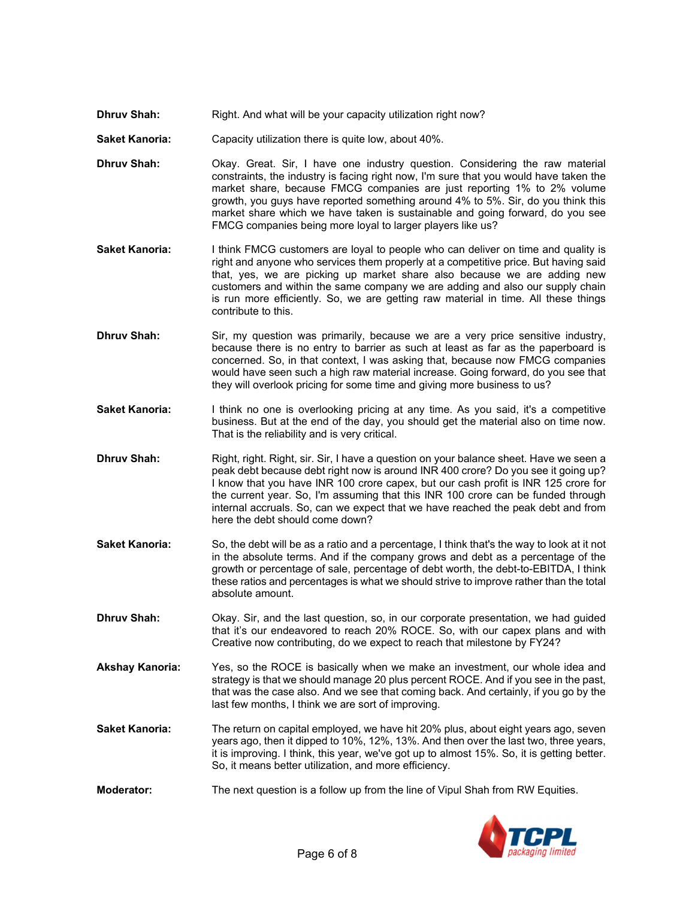- **Dhruv Shah:** Right. And what will be your capacity utilization right now?
- **Saket Kanoria:** Capacity utilization there is quite low, about 40%.
- **Dhruv Shah: Okay.** Great. Sir, I have one industry question. Considering the raw material constraints, the industry is facing right now, I'm sure that you would have taken the market share, because FMCG companies are just reporting 1% to 2% volume growth, you guys have reported something around 4% to 5%. Sir, do you think this market share which we have taken is sustainable and going forward, do you see FMCG companies being more loyal to larger players like us?
- **Saket Kanoria:** I think FMCG customers are loyal to people who can deliver on time and quality is right and anyone who services them properly at a competitive price. But having said that, yes, we are picking up market share also because we are adding new customers and within the same company we are adding and also our supply chain is run more efficiently. So, we are getting raw material in time. All these things contribute to this.
- **Dhruv Shah:** Sir, my question was primarily, because we are a very price sensitive industry, because there is no entry to barrier as such at least as far as the paperboard is concerned. So, in that context, I was asking that, because now FMCG companies would have seen such a high raw material increase. Going forward, do you see that they will overlook pricing for some time and giving more business to us?
- **Saket Kanoria:** I think no one is overlooking pricing at any time. As you said, it's a competitive business. But at the end of the day, you should get the material also on time now. That is the reliability and is very critical.
- **Dhruv Shah:** Right, right. Right, sir. Sir, I have a question on your balance sheet. Have we seen a peak debt because debt right now is around INR 400 crore? Do you see it going up? I know that you have INR 100 crore capex, but our cash profit is INR 125 crore for the current year. So, I'm assuming that this INR 100 crore can be funded through internal accruals. So, can we expect that we have reached the peak debt and from here the debt should come down?
- **Saket Kanoria:** So, the debt will be as a ratio and a percentage, I think that's the way to look at it not in the absolute terms. And if the company grows and debt as a percentage of the growth or percentage of sale, percentage of debt worth, the debt-to-EBITDA, I think these ratios and percentages is what we should strive to improve rather than the total absolute amount.
- **Dhruv Shah:** Okay. Sir, and the last question, so, in our corporate presentation, we had guided that it's our endeavored to reach 20% ROCE. So, with our capex plans and with Creative now contributing, do we expect to reach that milestone by FY24?
- **Akshay Kanoria:** Yes, so the ROCE is basically when we make an investment, our whole idea and strategy is that we should manage 20 plus percent ROCE. And if you see in the past, that was the case also. And we see that coming back. And certainly, if you go by the last few months, I think we are sort of improving.
- **Saket Kanoria:** The return on capital employed, we have hit 20% plus, about eight years ago, seven years ago, then it dipped to 10%, 12%, 13%. And then over the last two, three years, it is improving. I think, this year, we've got up to almost 15%. So, it is getting better. So, it means better utilization, and more efficiency.
- **Moderator:** The next question is a follow up from the line of Vipul Shah from RW Equities.

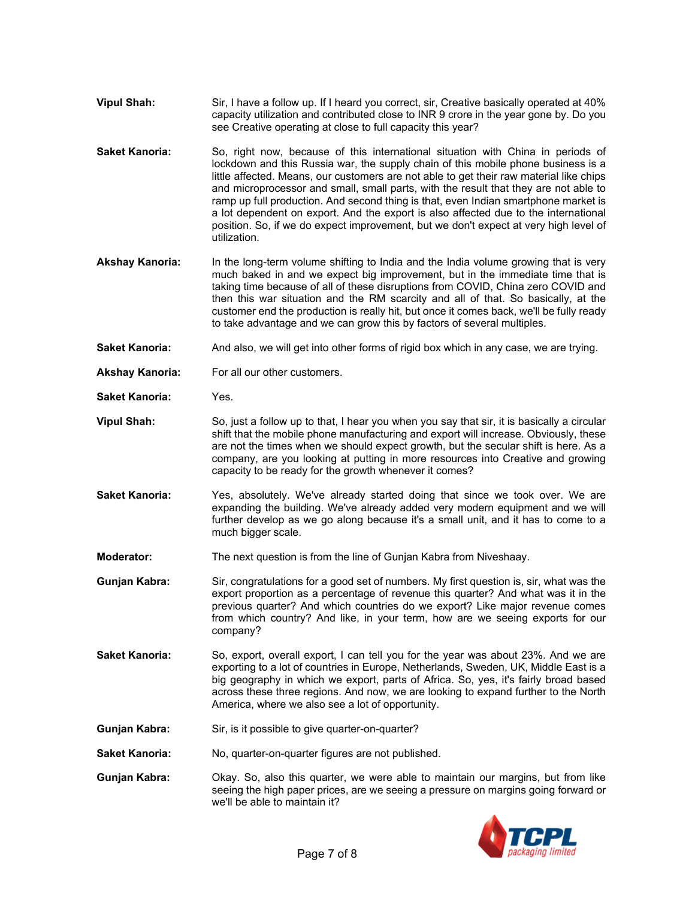- **Vipul Shah:** Sir, I have a follow up. If I heard you correct, sir, Creative basically operated at 40% capacity utilization and contributed close to INR 9 crore in the year gone by. Do you see Creative operating at close to full capacity this year?
- **Saket Kanoria:** So, right now, because of this international situation with China in periods of lockdown and this Russia war, the supply chain of this mobile phone business is a little affected. Means, our customers are not able to get their raw material like chips and microprocessor and small, small parts, with the result that they are not able to ramp up full production. And second thing is that, even Indian smartphone market is a lot dependent on export. And the export is also affected due to the international position. So, if we do expect improvement, but we don't expect at very high level of utilization.
- **Akshay Kanoria:** In the long-term volume shifting to India and the India volume growing that is very much baked in and we expect big improvement, but in the immediate time that is taking time because of all of these disruptions from COVID, China zero COVID and then this war situation and the RM scarcity and all of that. So basically, at the customer end the production is really hit, but once it comes back, we'll be fully ready to take advantage and we can grow this by factors of several multiples.
- **Saket Kanoria:** And also, we will get into other forms of rigid box which in any case, we are trying.
- **Akshay Kanoria:** For all our other customers.
- **Saket Kanoria:** Yes.
- **Vipul Shah:** So, just a follow up to that, I hear you when you say that sir, it is basically a circular shift that the mobile phone manufacturing and export will increase. Obviously, these are not the times when we should expect growth, but the secular shift is here. As a company, are you looking at putting in more resources into Creative and growing capacity to be ready for the growth whenever it comes?
- **Saket Kanoria:** Yes, absolutely. We've already started doing that since we took over. We are expanding the building. We've already added very modern equipment and we will further develop as we go along because it's a small unit, and it has to come to a much bigger scale.
- **Moderator:** The next question is from the line of Gunjan Kabra from Niveshaay.
- **Gunjan Kabra:** Sir, congratulations for a good set of numbers. My first question is, sir, what was the export proportion as a percentage of revenue this quarter? And what was it in the previous quarter? And which countries do we export? Like major revenue comes from which country? And like, in your term, how are we seeing exports for our company?
- **Saket Kanoria:** So, export, overall export, I can tell you for the year was about 23%. And we are exporting to a lot of countries in Europe, Netherlands, Sweden, UK, Middle East is a big geography in which we export, parts of Africa. So, yes, it's fairly broad based across these three regions. And now, we are looking to expand further to the North America, where we also see a lot of opportunity.
- **Gunjan Kabra:** Sir, is it possible to give quarter-on-quarter?
- Saket Kanoria: No, quarter-on-quarter figures are not published.
- **Gunjan Kabra:** Okay. So, also this quarter, we were able to maintain our margins, but from like seeing the high paper prices, are we seeing a pressure on margins going forward or we'll be able to maintain it?